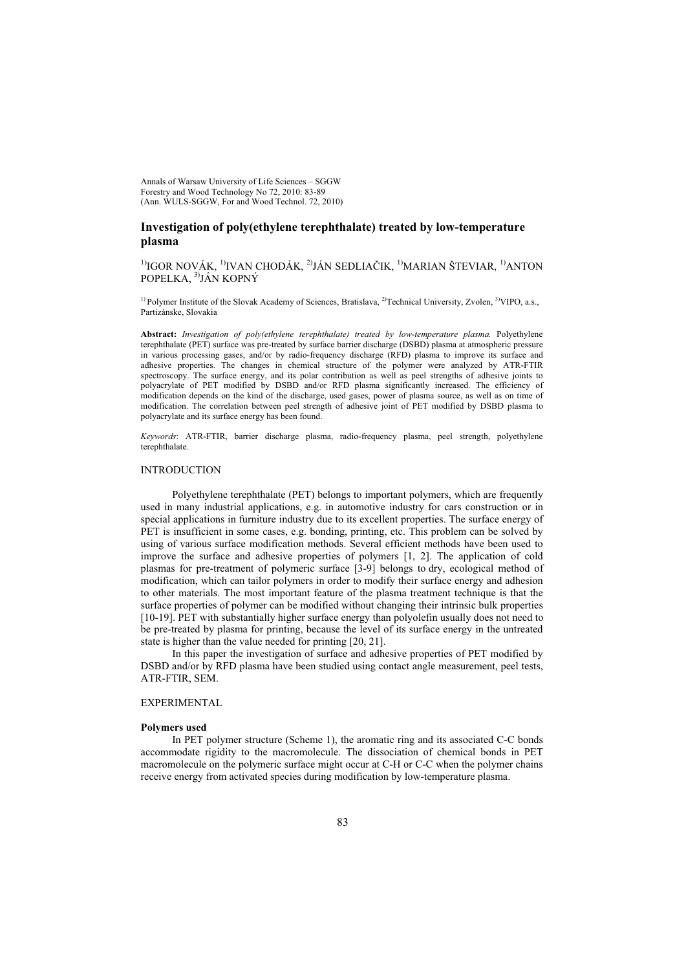Annals of Warsaw University of Life Sciences – SGGW Forestry and Wood Technology No 72, 2010: 83-89 (Ann. WULS-SGGW, For and Wood Technol. 72, 2010)

# **Investigation of poly(ethylene terephthalate) treated by low-temperature plasma**

 $1)$ IGOR NOVÁK,  $1)$ IVAN CHODÁK,  $2)$ JÁN SEDLIAČIK,  $1)$ MARIAN ŠTEVIAR,  $1)$ ANTON POPELKA, 3)JÁN KOPNÝ

<sup>1)</sup> Polymer Institute of the Slovak Academy of Sciences, Bratislava, <sup>2)</sup>Technical University, Zvolen, <sup>3)</sup>VIPO, a.s., Partizánske, Slovakia

**Abstract:** *Investigation of poly(ethylene terephthalate) treated by low-temperature plasma.* Polyethylene terephthalate (PET) surface was pre-treated by surface barrier discharge (DSBD) plasma at atmospheric pressure in various processing gases, and/or by radio-frequency discharge (RFD) plasma to improve its surface and adhesive properties. The changes in chemical structure of the polymer were analyzed by ATR-FTIR spectroscopy. The surface energy, and its polar contribution as well as peel strengths of adhesive joints to polyacrylate of PET modified by DSBD and/or RFD plasma significantly increased. The efficiency of modification depends on the kind of the discharge, used gases, power of plasma source, as well as on time of modification. The correlation between peel strength of adhesive joint of PET modified by DSBD plasma to polyacrylate and its surface energy has been found.

*Keywords*: ATR-FTIR, barrier discharge plasma, radio-frequency plasma, peel strength, polyethylene terephthalate.

## INTRODUCTION

Polyethylene terephthalate (PET) belongs to important polymers, which are frequently used in many industrial applications, e.g. in automotive industry for cars construction or in special applications in furniture industry due to its excellent properties. The surface energy of PET is insufficient in some cases, e.g. bonding, printing, etc. This problem can be solved by using of various surface modification methods. Several efficient methods have been used to improve the surface and adhesive properties of polymers [1, 2]. The application of cold plasmas for pre-treatment of polymeric surface [3-9] belongs to dry, ecological method of modification, which can tailor polymers in order to modify their surface energy and adhesion to other materials. The most important feature of the plasma treatment technique is that the surface properties of polymer can be modified without changing their intrinsic bulk properties [10-19]. PET with substantially higher surface energy than polyolefin usually does not need to be pre-treated by plasma for printing, because the level of its surface energy in the untreated state is higher than the value needed for printing [20, 21].

In this paper the investigation of surface and adhesive properties of PET modified by DSBD and/or by RFD plasma have been studied using contact angle measurement, peel tests, ATR-FTIR, SEM.

### **EXPERIMENTAL**

### **Polymers used**

In PET polymer structure (Scheme 1), the aromatic ring and its associated C-C bonds accommodate rigidity to the macromolecule. The dissociation of chemical bonds in PET macromolecule on the polymeric surface might occur at C-H or C-C when the polymer chains receive energy from activated species during modification by low-temperature plasma.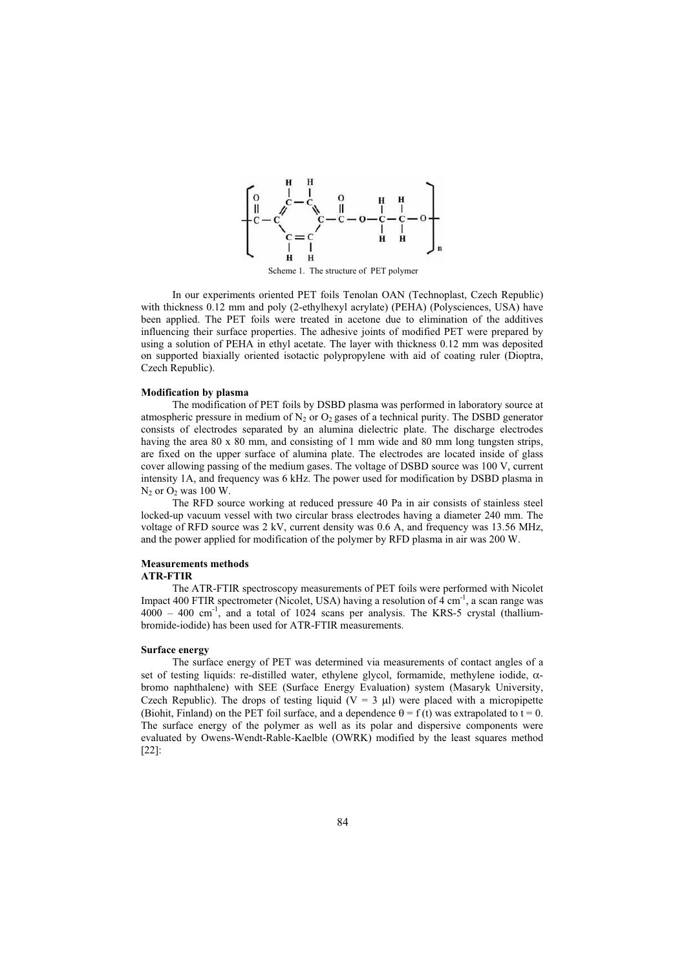

Scheme 1. The structure of PET polymer

In our experiments oriented PET foils Tenolan OAN (Technoplast, Czech Republic) with thickness 0.12 mm and poly (2-ethylhexyl acrylate) (PEHA) (Polysciences, USA) have been applied. The PET foils were treated in acetone due to elimination of the additives influencing their surface properties. The adhesive joints of modified PET were prepared by using a solution of PEHA in ethyl acetate. The layer with thickness 0.12 mm was deposited on supported biaxially oriented isotactic polypropylene with aid of coating ruler (Dioptra, Czech Republic).

#### **Modification by plasma**

The modification of PET foils by DSBD plasma was performed in laboratory source at atmospheric pressure in medium of  $N_2$  or  $O_2$  gases of a technical purity. The DSBD generator consists of electrodes separated by an alumina dielectric plate. The discharge electrodes having the area 80 x 80 mm, and consisting of 1 mm wide and 80 mm long tungsten strips, are fixed on the upper surface of alumina plate. The electrodes are located inside of glass cover allowing passing of the medium gases. The voltage of DSBD source was 100 V, current intensity 1A, and frequency was 6 kHz. The power used for modification by DSBD plasma in  $N_2$  or  $O_2$  was 100 W.

The RFD source working at reduced pressure 40 Pa in air consists of stainless steel locked-up vacuum vessel with two circular brass electrodes having a diameter 240 mm. The voltage of RFD source was 2 kV, current density was 0.6 A, and frequency was 13.56 MHz, and the power applied for modification of the polymer by RFD plasma in air was 200 W.

#### **Measurements methods ATR-FTIR**

The ATR-FTIR spectroscopy measurements of PET foils were performed with Nicolet Impact 400 FTIR spectrometer (Nicolet, USA) having a resolution of  $4 \text{ cm}^{-1}$ , a scan range was  $4000 - 400$  cm<sup>-1</sup>, and a total of 1024 scans per analysis. The KRS-5 crystal (thalliumbromide-iodide) has been used for ATR-FTIR measurements.

## **Surface energy**

The surface energy of PET was determined via measurements of contact angles of a set of testing liquids: re-distilled water, ethylene glycol, formamide, methylene iodide,  $\alpha$ bromo naphthalene) with SEE (Surface Energy Evaluation) system (Masaryk University, Czech Republic). The drops of testing liquid ( $V = 3 \mu$ ) were placed with a micropipette (Biohit, Finland) on the PET foil surface, and a dependence  $\theta = f(t)$  was extrapolated to  $t = 0$ . The surface energy of the polymer as well as its polar and dispersive components were evaluated by Owens-Wendt-Rable-Kaelble (OWRK) modified by the least squares method [22]: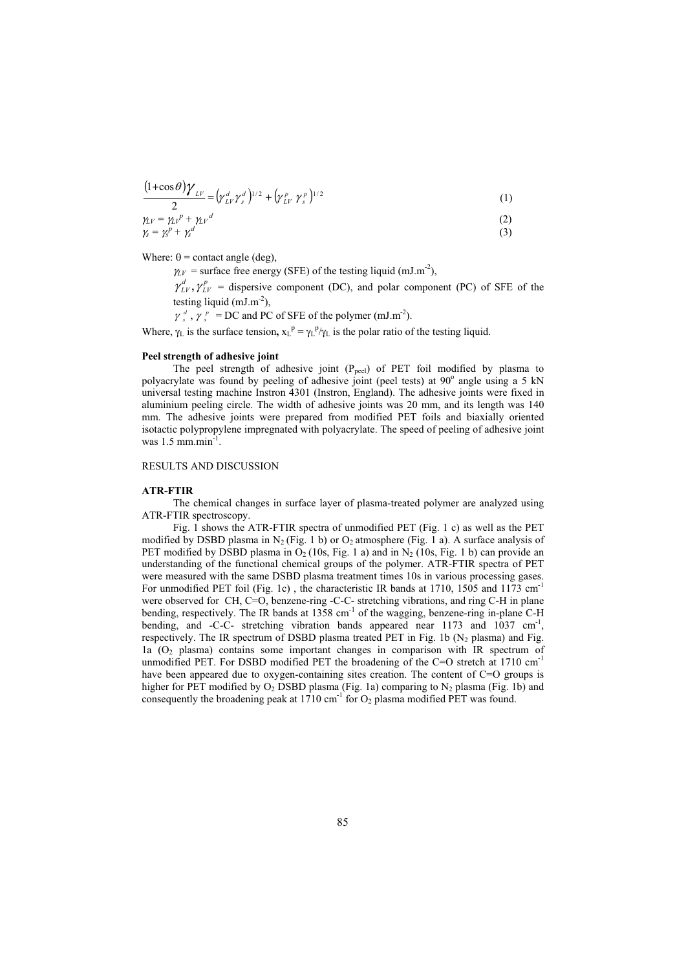$$
\frac{(1+\cos\theta)\gamma_{LV}}{2} = (\gamma_{LV}^d \gamma_s^d)^{1/2} + (\gamma_{LV}^p \gamma_s^p)^{1/2}
$$
 (1)

$$
\begin{aligned} \gamma_{LV} &= \gamma_{LV}{}^p + \gamma_{LV}{}^d \\ \gamma_s &= \gamma_s^p + \gamma_s^d \end{aligned} \tag{2}
$$

Where:  $\theta$  = contact angle (deg),

 $\gamma_{LV}$  = surface free energy (SFE) of the testing liquid (mJ.m<sup>-2</sup>),

 $\gamma_{LV}^d$ ,  $\gamma_{LV}^p$  = dispersive component (DC), and polar component (PC) of SFE of the testing liquid  $(mJ.m^{-2})$ ,

 $\gamma_s^d$ ,  $\gamma_s^p$  = DC and PC of SFE of the polymer (mJ.m<sup>-2</sup>).

Where,  $\gamma_L$  is the surface tension,  $x_L^p = \gamma_L^p / \gamma_L$  is the polar ratio of the testing liquid.

### **Peel strength of adhesive joint**

The peel strength of adhesive joint  $(P_{\text{peel}})$  of PET foil modified by plasma to polyacrylate was found by peeling of adhesive joint (peel tests) at 90° angle using a 5 kN universal testing machine Instron 4301 (Instron, England). The adhesive joints were fixed in aluminium peeling circle. The width of adhesive joints was 20 mm, and its length was 140 mm. The adhesive joints were prepared from modified PET foils and biaxially oriented isotactic polypropylene impregnated with polyacrylate. The speed of peeling of adhesive joint was  $1.5$  mm.min<sup>-1</sup>.

RESULTS AND DISCUSSION

#### **ATR-FTIR**

The chemical changes in surface layer of plasma-treated polymer are analyzed using ATR-FTIR spectroscopy.

Fig. 1 shows the ATR-FTIR spectra of unmodified PET (Fig. 1 c) as well as the PET modified by DSBD plasma in N<sub>2</sub> (Fig. 1 b) or O<sub>2</sub> atmosphere (Fig. 1 a). A surface analysis of PET modified by DSBD plasma in  $O_2(10s, Fig. 1 a)$  and in  $N_2(10s, Fig. 1 b)$  can provide an understanding of the functional chemical groups of the polymer. ATR-FTIR spectra of PET were measured with the same DSBD plasma treatment times 10s in various processing gases. For unmodified PET foil (Fig. 1c), the characteristic IR bands at 1710, 1505 and 1173 cm<sup>-1</sup> were observed for CH, C=O, benzene-ring -C-C- stretching vibrations, and ring C-H in plane bending, respectively. The IR bands at 1358 cm<sup>-1</sup> of the wagging, benzene-ring in-plane C-H bending, and -C-C- stretching vibration bands appeared near 1173 and 1037 cm<sup>-1</sup>, respectively. The IR spectrum of DSBD plasma treated PET in Fig. 1b  $(N_2$  plasma) and Fig. 1a  $(O<sub>2</sub>$  plasma) contains some important changes in comparison with IR spectrum of unmodified PET. For DSBD modified PET the broadening of the C=O stretch at  $1710 \text{ cm}^{-1}$ have been appeared due to oxygen-containing sites creation. The content of C=O groups is higher for PET modified by  $O_2$  DSBD plasma (Fig. 1a) comparing to N<sub>2</sub> plasma (Fig. 1b) and consequently the broadening peak at  $1710 \text{ cm}^{-1}$  for  $O_2$  plasma modified PET was found.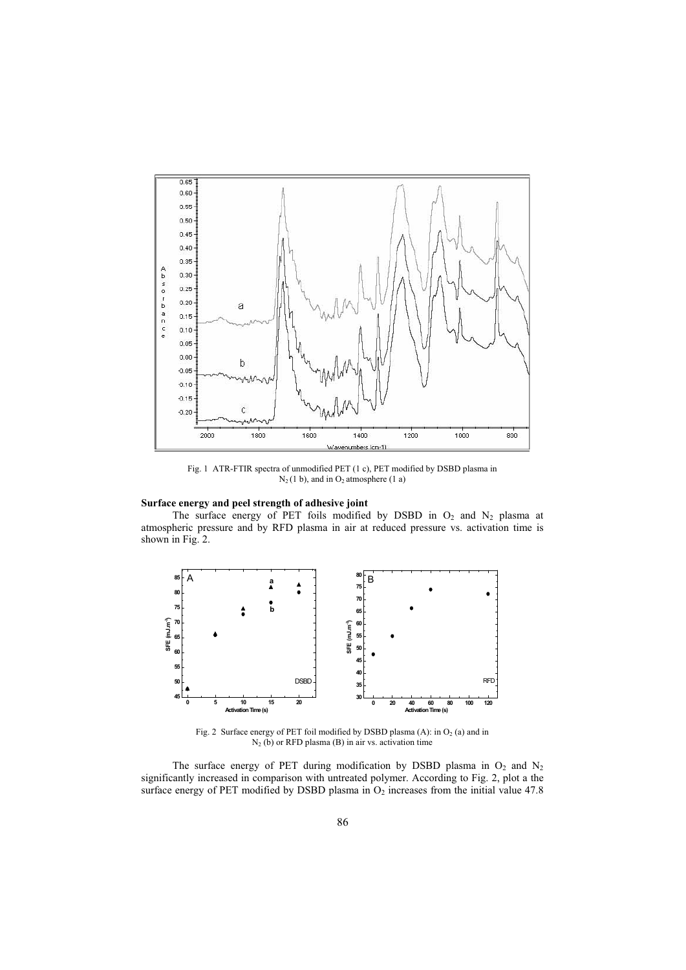

Fig. 1 ATR-FTIR spectra of unmodified PET (1 c), PET modified by DSBD plasma in  $N_2(1 \text{ b})$ , and in O<sub>2</sub> atmosphere (1 a)

# **Surface energy and peel strength of adhesive joint**

The surface energy of PET foils modified by DSBD in  $O_2$  and  $N_2$  plasma at atmospheric pressure and by RFD plasma in air at reduced pressure vs. activation time is shown in Fig. 2.



Fig. 2 Surface energy of PET foil modified by DSBD plasma (A): in  $O_2$  (a) and in  $N_2$  (b) or RFD plasma (B) in air vs. activation time

The surface energy of PET during modification by DSBD plasma in  $O_2$  and  $N_2$ significantly increased in comparison with untreated polymer. According to Fig. 2, plot a the surface energy of PET modified by DSBD plasma in  $O_2$  increases from the initial value 47.8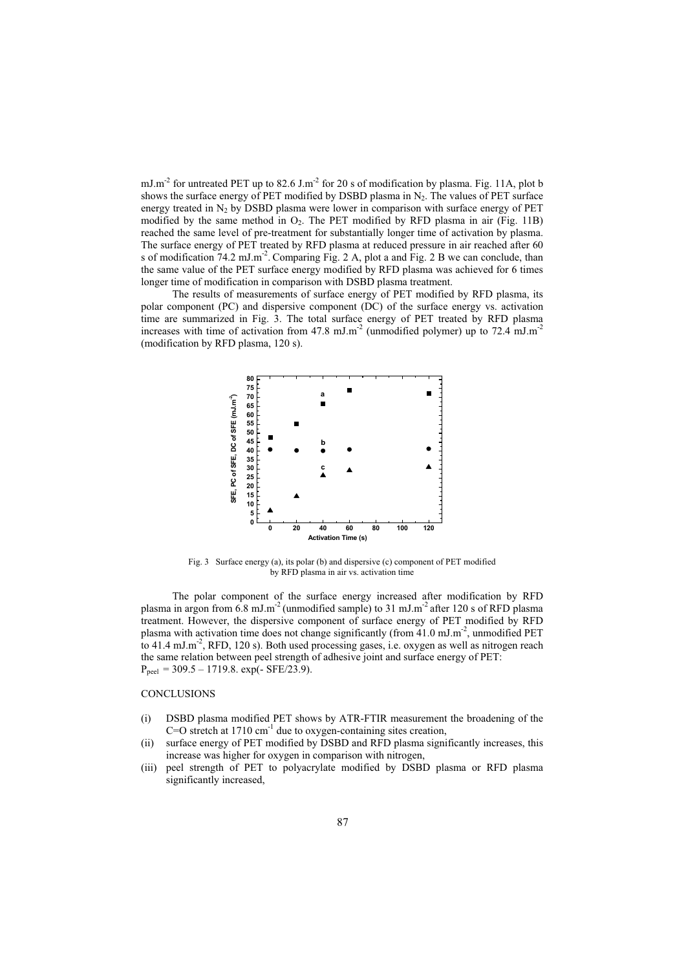mJ.m<sup>-2</sup> for untreated PET up to  $82.6$  J.m<sup>-2</sup> for 20 s of modification by plasma. Fig. 11A, plot b shows the surface energy of PET modified by DSBD plasma in  $N_2$ . The values of PET surface energy treated in  $N_2$  by DSBD plasma were lower in comparison with surface energy of PET modified by the same method in  $O_2$ . The PET modified by RFD plasma in air (Fig. 11B) reached the same level of pre-treatment for substantially longer time of activation by plasma. The surface energy of PET treated by RFD plasma at reduced pressure in air reached after 60 s of modification 74.2 mJ.m<sup>-2</sup>. Comparing Fig. 2 A, plot a and Fig. 2 B we can conclude, than the same value of the PET surface energy modified by RFD plasma was achieved for 6 times longer time of modification in comparison with DSBD plasma treatment.

The results of measurements of surface energy of PET modified by RFD plasma, its polar component (PC) and dispersive component (DC) of the surface energy vs. activation time are summarized in Fig. 3. The total surface energy of PET treated by RFD plasma increases with time of activation from 47.8 mJ.m<sup>-2</sup> (unmodified polymer) up to 72.4 mJ.m<sup>-2</sup> (modification by RFD plasma, 120 s).



Fig. 3 Surface energy (a), its polar (b) and dispersive (c) component of PET modified by RFD plasma in air vs. activation time

The polar component of the surface energy increased after modification by RFD plasma in argon from  $6.8 \text{ mJ.m}^2$  (unmodified sample) to 31 mJ.m<sup>-2</sup> after 120 s of RFD plasma treatment. However, the dispersive component of surface energy of PET modified by RFD plasma with activation time does not change significantly (from 41.0 mJ.m<sup>-2</sup>, unmodified PET to 41.4 mJ.m<sup>-2</sup>, RFD, 120 s). Both used processing gases, i.e. oxygen as well as nitrogen reach the same relation between peel strength of adhesive joint and surface energy of PET:  $P_{\text{peel}} = 309.5 - 1719.8$ . exp(- SFE/23.9).

### **CONCLUSIONS**

- (i) DSBD plasma modified PET shows by ATR-FTIR measurement the broadening of the  $C=O$  stretch at 1710 cm<sup>-1</sup> due to oxygen-containing sites creation,
- (ii) surface energy of PET modified by DSBD and RFD plasma significantly increases, this increase was higher for oxygen in comparison with nitrogen,
- (iii) peel strength of PET to polyacrylate modified by DSBD plasma or RFD plasma significantly increased,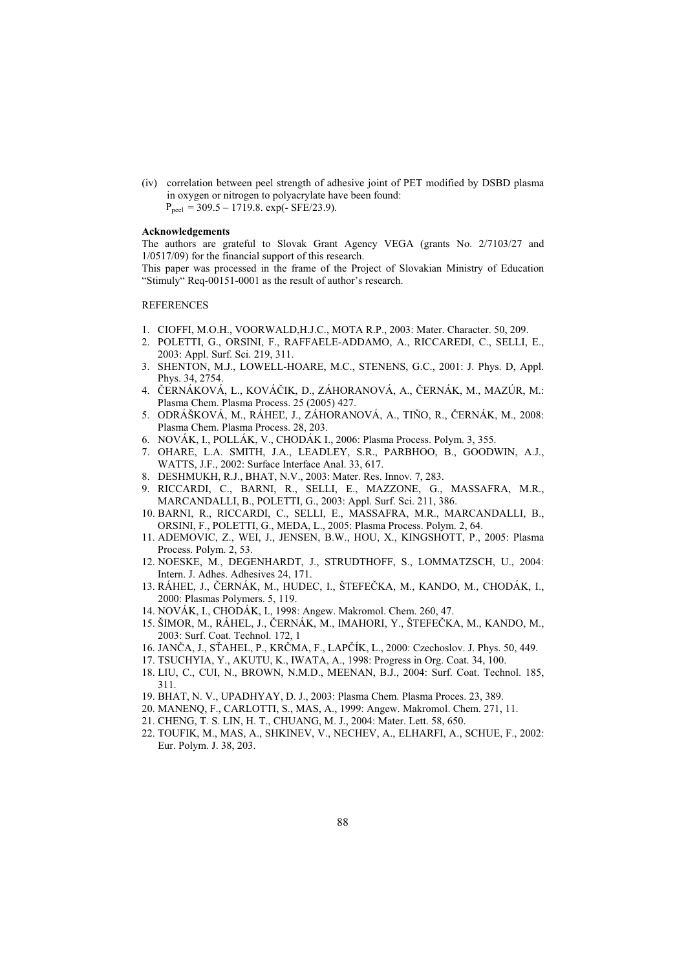(iv) correlation between peel strength of adhesive joint of PET modified by DSBD plasma in oxygen or nitrogen to polyacrylate have been found:  $P_{\text{peel}} = 309.5 - 1719.8$ . exp(- SFE/23.9).

#### **Acknowledgements**

The authors are grateful to Slovak Grant Agency VEGA (grants No. 2/7103/27 and 1/0517/09) for the financial support of this research.

This paper was processed in the frame of the Project of Slovakian Ministry of Education "Stimuly" Req-00151-0001 as the result of author's research.

### **REFERENCES**

- 1. CIOFFI, M.O.H., VOORWALD,H.J.C., MOTA R.P., 2003: Mater. Character. 50, 209.
- 2. POLETTI, G., ORSINI, F., RAFFAELE-ADDAMO, A., RICCAREDI, C., SELLI, E., 2003: Appl. Surf. Sci. 219, 311.
- 3. SHENTON, M.J., LOWELL-HOARE, M.C., STENENS, G.C., 2001: J. Phys. D, Appl. Phys. 34, 2754.
- 4. ČERNÁKOVÁ, L., KOVÁČIK, D., ZÁHORANOVÁ, A., ČERNÁK, M., MAZÚR, M.: Plasma Chem. Plasma Process. 25 (2005) 427.
- 5. ODRÁŠKOVÁ, M., RÁHEĽ, J., ZÁHORANOVÁ, A., TIŇO, R., ČERNÁK, M., 2008: Plasma Chem. Plasma Process. 28, 203.
- 6. NOVÁK, I., POLLÁK, V., CHODÁK I., 2006: Plasma Process. Polym. 3, 355.
- 7. OHARE, L.A. SMITH, J.A., LEADLEY, S.R., PARBHOO, B., GOODWIN, A.J., WATTS, J.F., 2002: Surface Interface Anal. 33, 617.
- 8. DESHMUKH, R.J., BHAT, N.V., 2003: Mater. Res. Innov. 7, 283.
- 9. RICCARDI, C., BARNI, R., SELLI, E., MAZZONE, G., MASSAFRA, M.R., MARCANDALLI, B., POLETTI, G., 2003: Appl. Surf. Sci. 211, 386.
- 10. BARNI, R., RICCARDI, C., SELLI, E., MASSAFRA, M.R., MARCANDALLI, B., ORSINI, F., POLETTI, G., MEDA, L., 2005: Plasma Process. Polym. 2, 64.
- 11. ADEMOVIC, Z., WEI, J., JENSEN, B.W., HOU, X., KINGSHOTT, P., 2005: Plasma Process. Polym. 2, 53.
- 12. NOESKE, M., DEGENHARDT, J., STRUDTHOFF, S., LOMMATZSCH, U., 2004: Intern. J. Adhes. Adhesives 24, 171.
- 13. RÁHEĽ, J., ČERNÁK, M., HUDEC, I., ŠTEFEČKA, M., KANDO, M., CHODÁK, I., 2000: Plasmas Polymers. 5, 119.
- 14. NOVÁK, I., CHODÁK, I., 1998: Angew. Makromol. Chem. 260, 47.
- 15. ŠIMOR, M., RÁHEL, J., ČERNÁK, M., IMAHORI, Y., ŠTEFEČKA, M., KANDO, M., 2003: Surf. Coat. Technol. 172, 1
- 16. JANČA, J., SŤAHEL, P., KRČMA, F., LAPČÍK, L., 2000: Czechoslov. J. Phys. 50, 449.
- 17. TSUCHYIA, Y., AKUTU, K., IWATA, A., 1998: Progress in Org. Coat. 34, 100.
- 18. LIU, C., CUI, N., BROWN, N.M.D., MEENAN, B.J., 2004: Surf. Coat. Technol. 185, 311.
- 19. BHAT, N. V., UPADHYAY, D. J., 2003: Plasma Chem. Plasma Proces. 23, 389.
- 20. MANENQ, F., CARLOTTI, S., MAS, A., 1999: Angew. Makromol. Chem. 271, 11.
- 21. CHENG, T. S. LIN, H. T., CHUANG, M. J., 2004: Mater. Lett. 58, 650.
- 22. TOUFIK, M., MAS, A., SHKINEV, V., NECHEV, A., ELHARFI, A., SCHUE, F., 2002: Eur. Polym. J. 38, 203.